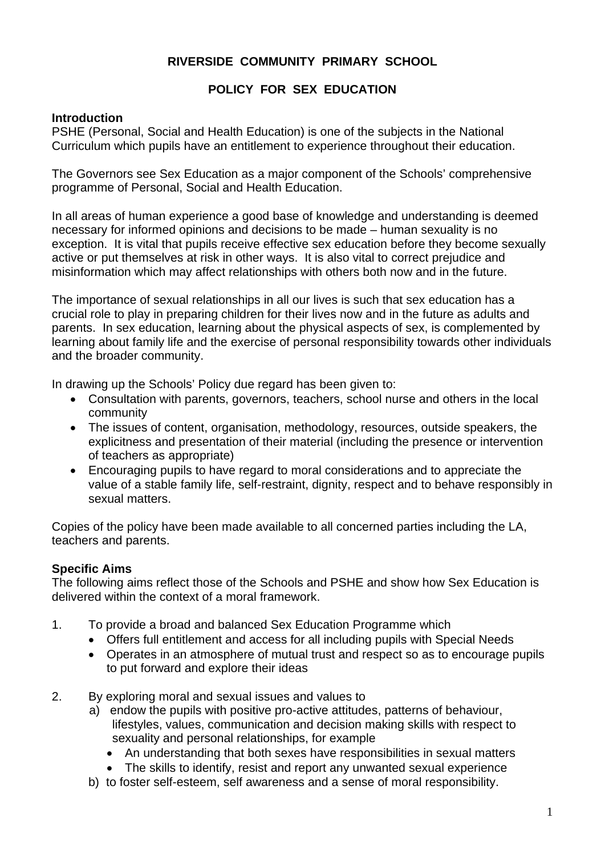# **RIVERSIDE COMMUNITY PRIMARY SCHOOL**

#### **POLICY FOR SEX EDUCATION**

#### **Introduction**

PSHE (Personal, Social and Health Education) is one of the subjects in the National Curriculum which pupils have an entitlement to experience throughout their education.

The Governors see Sex Education as a major component of the Schools' comprehensive programme of Personal, Social and Health Education.

In all areas of human experience a good base of knowledge and understanding is deemed necessary for informed opinions and decisions to be made – human sexuality is no exception. It is vital that pupils receive effective sex education before they become sexually active or put themselves at risk in other ways. It is also vital to correct prejudice and misinformation which may affect relationships with others both now and in the future.

The importance of sexual relationships in all our lives is such that sex education has a crucial role to play in preparing children for their lives now and in the future as adults and parents. In sex education, learning about the physical aspects of sex, is complemented by learning about family life and the exercise of personal responsibility towards other individuals and the broader community.

In drawing up the Schools' Policy due regard has been given to:

- Consultation with parents, governors, teachers, school nurse and others in the local community
- The issues of content, organisation, methodology, resources, outside speakers, the explicitness and presentation of their material (including the presence or intervention of teachers as appropriate)
- Encouraging pupils to have regard to moral considerations and to appreciate the value of a stable family life, self-restraint, dignity, respect and to behave responsibly in sexual matters.

Copies of the policy have been made available to all concerned parties including the LA, teachers and parents.

# **Specific Aims**

The following aims reflect those of the Schools and PSHE and show how Sex Education is delivered within the context of a moral framework.

- 1. To provide a broad and balanced Sex Education Programme which
	- Offers full entitlement and access for all including pupils with Special Needs
	- Operates in an atmosphere of mutual trust and respect so as to encourage pupils to put forward and explore their ideas
- 2. By exploring moral and sexual issues and values to
	- a) endow the pupils with positive pro-active attitudes, patterns of behaviour, lifestyles, values, communication and decision making skills with respect to sexuality and personal relationships, for example
		- An understanding that both sexes have responsibilities in sexual matters
		- The skills to identify, resist and report any unwanted sexual experience
	- b) to foster self-esteem, self awareness and a sense of moral responsibility.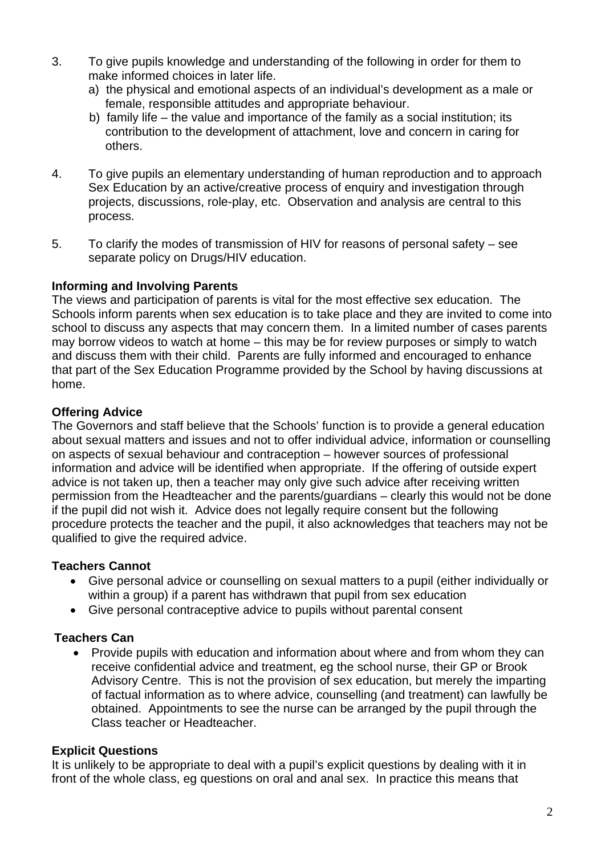- 3. To give pupils knowledge and understanding of the following in order for them to make informed choices in later life.
	- a) the physical and emotional aspects of an individual's development as a male or female, responsible attitudes and appropriate behaviour.
	- b) family life the value and importance of the family as a social institution; its contribution to the development of attachment, love and concern in caring for others.
- 4. To give pupils an elementary understanding of human reproduction and to approach Sex Education by an active/creative process of enquiry and investigation through projects, discussions, role-play, etc. Observation and analysis are central to this process.
- 5. To clarify the modes of transmission of HIV for reasons of personal safety see separate policy on Drugs/HIV education.

#### **Informing and Involving Parents**

The views and participation of parents is vital for the most effective sex education. The Schools inform parents when sex education is to take place and they are invited to come into school to discuss any aspects that may concern them. In a limited number of cases parents may borrow videos to watch at home – this may be for review purposes or simply to watch and discuss them with their child. Parents are fully informed and encouraged to enhance that part of the Sex Education Programme provided by the School by having discussions at home.

#### **Offering Advice**

The Governors and staff believe that the Schools' function is to provide a general education about sexual matters and issues and not to offer individual advice, information or counselling on aspects of sexual behaviour and contraception – however sources of professional information and advice will be identified when appropriate. If the offering of outside expert advice is not taken up, then a teacher may only give such advice after receiving written permission from the Headteacher and the parents/guardians – clearly this would not be done if the pupil did not wish it. Advice does not legally require consent but the following procedure protects the teacher and the pupil, it also acknowledges that teachers may not be qualified to give the required advice.

# **Teachers Cannot**

- Give personal advice or counselling on sexual matters to a pupil (either individually or within a group) if a parent has withdrawn that pupil from sex education
- Give personal contraceptive advice to pupils without parental consent

# **Teachers Can**

• Provide pupils with education and information about where and from whom they can receive confidential advice and treatment, eg the school nurse, their GP or Brook Advisory Centre. This is not the provision of sex education, but merely the imparting of factual information as to where advice, counselling (and treatment) can lawfully be obtained. Appointments to see the nurse can be arranged by the pupil through the Class teacher or Headteacher.

#### **Explicit Questions**

It is unlikely to be appropriate to deal with a pupil's explicit questions by dealing with it in front of the whole class, eg questions on oral and anal sex. In practice this means that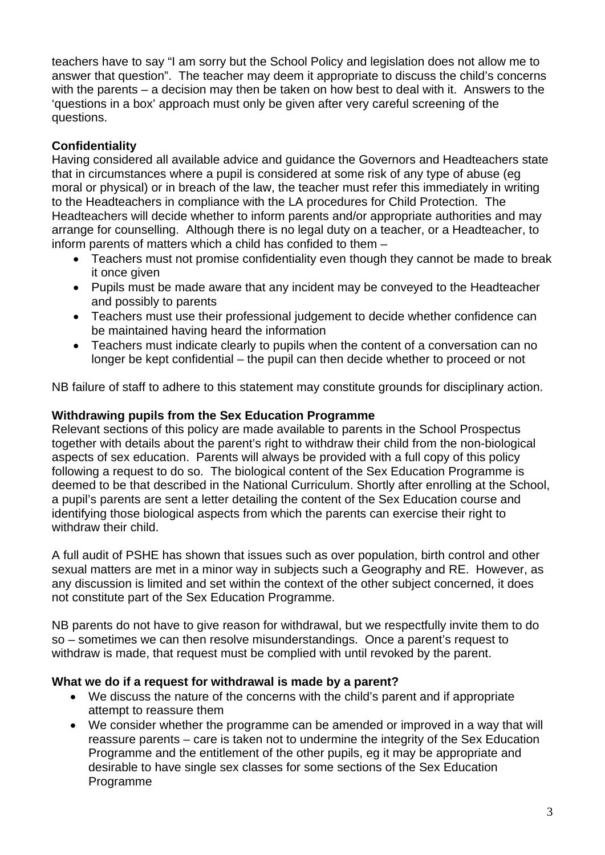teachers have to say "I am sorry but the School Policy and legislation does not allow me to answer that question". The teacher may deem it appropriate to discuss the child's concerns with the parents – a decision may then be taken on how best to deal with it. Answers to the 'questions in a box' approach must only be given after very careful screening of the questions.

# **Confidentiality**

Having considered all available advice and guidance the Governors and Headteachers state that in circumstances where a pupil is considered at some risk of any type of abuse (eg moral or physical) or in breach of the law, the teacher must refer this immediately in writing to the Headteachers in compliance with the LA procedures for Child Protection. The Headteachers will decide whether to inform parents and/or appropriate authorities and may arrange for counselling. Although there is no legal duty on a teacher, or a Headteacher, to inform parents of matters which a child has confided to them –

- Teachers must not promise confidentiality even though they cannot be made to break it once given
- Pupils must be made aware that any incident may be conveyed to the Headteacher and possibly to parents
- Teachers must use their professional judgement to decide whether confidence can be maintained having heard the information
- Teachers must indicate clearly to pupils when the content of a conversation can no longer be kept confidential – the pupil can then decide whether to proceed or not

NB failure of staff to adhere to this statement may constitute grounds for disciplinary action.

# **Withdrawing pupils from the Sex Education Programme**

Relevant sections of this policy are made available to parents in the School Prospectus together with details about the parent's right to withdraw their child from the non-biological aspects of sex education. Parents will always be provided with a full copy of this policy following a request to do so. The biological content of the Sex Education Programme is deemed to be that described in the National Curriculum. Shortly after enrolling at the School, a pupil's parents are sent a letter detailing the content of the Sex Education course and identifying those biological aspects from which the parents can exercise their right to withdraw their child.

A full audit of PSHE has shown that issues such as over population, birth control and other sexual matters are met in a minor way in subjects such a Geography and RE. However, as any discussion is limited and set within the context of the other subject concerned, it does not constitute part of the Sex Education Programme.

NB parents do not have to give reason for withdrawal, but we respectfully invite them to do so – sometimes we can then resolve misunderstandings. Once a parent's request to withdraw is made, that request must be complied with until revoked by the parent.

#### **What we do if a request for withdrawal is made by a parent?**

- We discuss the nature of the concerns with the child's parent and if appropriate attempt to reassure them
- We consider whether the programme can be amended or improved in a way that will reassure parents – care is taken not to undermine the integrity of the Sex Education Programme and the entitlement of the other pupils, eg it may be appropriate and desirable to have single sex classes for some sections of the Sex Education Programme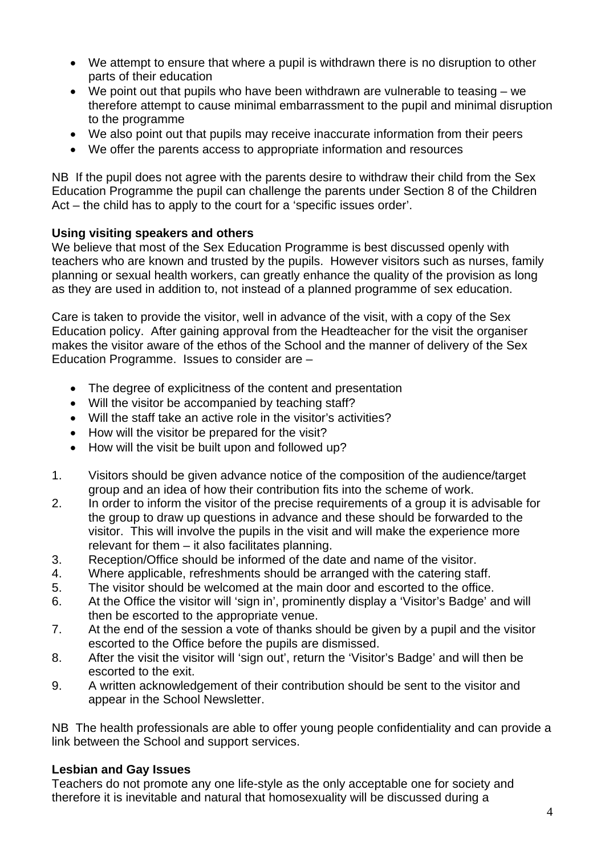- We attempt to ensure that where a pupil is withdrawn there is no disruption to other parts of their education
- We point out that pupils who have been withdrawn are vulnerable to teasing we therefore attempt to cause minimal embarrassment to the pupil and minimal disruption to the programme
- We also point out that pupils may receive inaccurate information from their peers
- We offer the parents access to appropriate information and resources

NB If the pupil does not agree with the parents desire to withdraw their child from the Sex Education Programme the pupil can challenge the parents under Section 8 of the Children Act – the child has to apply to the court for a 'specific issues order'.

#### **Using visiting speakers and others**

We believe that most of the Sex Education Programme is best discussed openly with teachers who are known and trusted by the pupils. However visitors such as nurses, family planning or sexual health workers, can greatly enhance the quality of the provision as long as they are used in addition to, not instead of a planned programme of sex education.

Care is taken to provide the visitor, well in advance of the visit, with a copy of the Sex Education policy. After gaining approval from the Headteacher for the visit the organiser makes the visitor aware of the ethos of the School and the manner of delivery of the Sex Education Programme. Issues to consider are –

- The degree of explicitness of the content and presentation
- Will the visitor be accompanied by teaching staff?
- Will the staff take an active role in the visitor's activities?
- How will the visitor be prepared for the visit?
- How will the visit be built upon and followed up?
- 1. Visitors should be given advance notice of the composition of the audience/target group and an idea of how their contribution fits into the scheme of work.
- 2. In order to inform the visitor of the precise requirements of a group it is advisable for the group to draw up questions in advance and these should be forwarded to the visitor. This will involve the pupils in the visit and will make the experience more relevant for them – it also facilitates planning.
- 3. Reception/Office should be informed of the date and name of the visitor.
- 4. Where applicable, refreshments should be arranged with the catering staff.
- 5. The visitor should be welcomed at the main door and escorted to the office.
- 6. At the Office the visitor will 'sign in', prominently display a 'Visitor's Badge' and will then be escorted to the appropriate venue.
- 7. At the end of the session a vote of thanks should be given by a pupil and the visitor escorted to the Office before the pupils are dismissed.
- 8. After the visit the visitor will 'sign out', return the 'Visitor's Badge' and will then be escorted to the exit.
- 9. A written acknowledgement of their contribution should be sent to the visitor and appear in the School Newsletter.

NB The health professionals are able to offer young people confidentiality and can provide a link between the School and support services.

#### **Lesbian and Gay Issues**

Teachers do not promote any one life-style as the only acceptable one for society and therefore it is inevitable and natural that homosexuality will be discussed during a